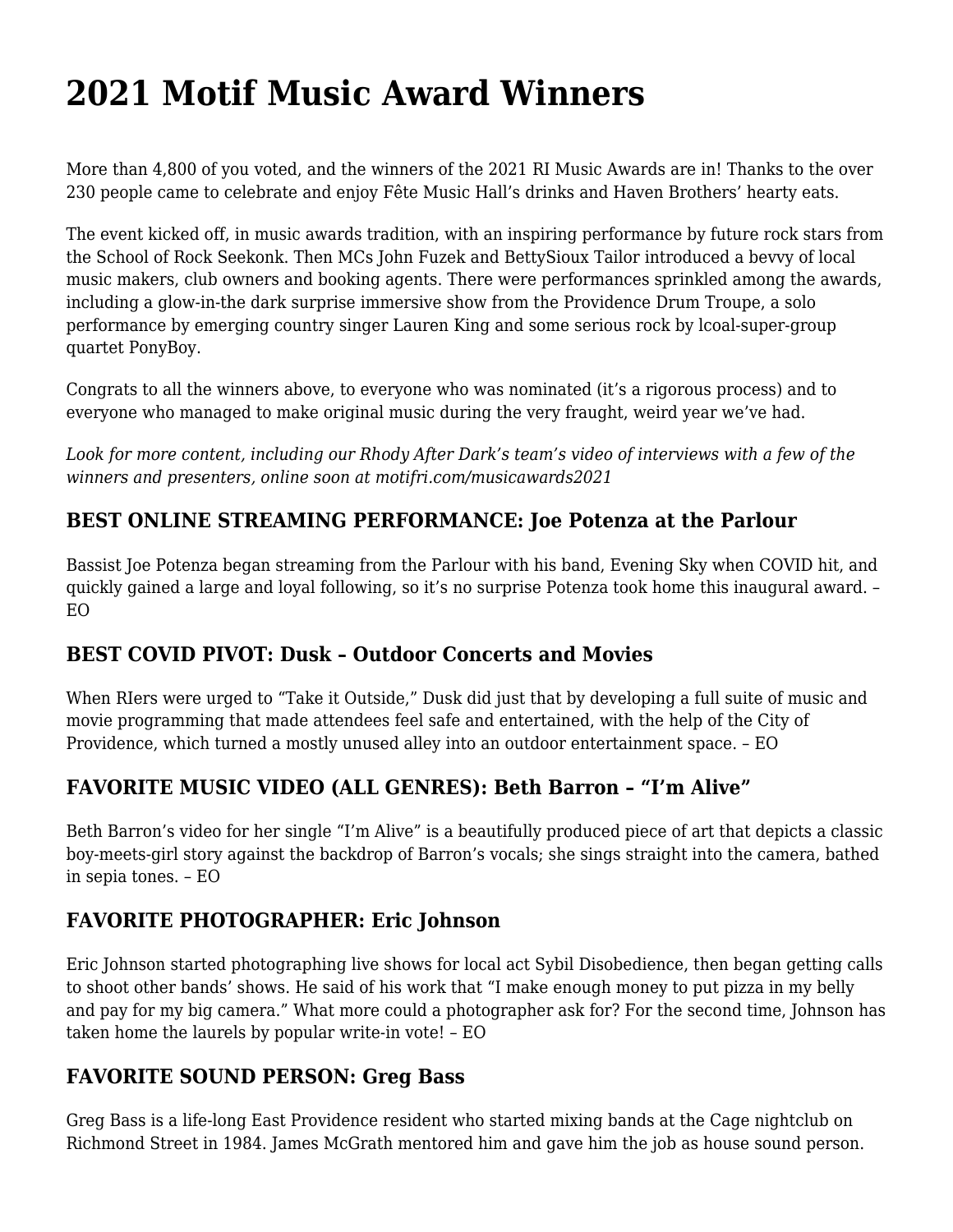# **[2021 Motif Music Award Winners](https://motifri.com/2021-motif-music-award-winners/)**

More than 4,800 of you voted, and the winners of the 2021 RI Music Awards are in! Thanks to the over 230 people came to celebrate and enjoy Fête Music Hall's drinks and Haven Brothers' hearty eats.

The event kicked off, in music awards tradition, with an inspiring performance by future rock stars from the School of Rock Seekonk. Then MCs John Fuzek and BettySioux Tailor introduced a bevvy of local music makers, club owners and booking agents. There were performances sprinkled among the awards, including a glow-in-the dark surprise immersive show from the Providence Drum Troupe, a solo performance by emerging country singer Lauren King and some serious rock by lcoal-super-group quartet PonyBoy.

Congrats to all the winners above, to everyone who was nominated (it's a rigorous process) and to everyone who managed to make original music during the very fraught, weird year we've had.

*Look for more content, including our Rhody After Dark's team's video of interviews with a few of the winners and presenters, online soon at [motifri.com/musicawards2021](https://motifri.com/musicawards2021)*

# **BEST ONLINE STREAMING PERFORMANCE: Joe Potenza at the Parlour**

Bassist Joe Potenza began streaming from the Parlour with his band, Evening Sky when COVID hit, and quickly gained a large and loyal following, so it's no surprise Potenza took home this inaugural award. – EO

#### **BEST COVID PIVOT: Dusk – Outdoor Concerts and Movies**

When RIers were urged to "Take it Outside," Dusk did just that by developing a full suite of music and movie programming that made attendees feel safe and entertained, with the help of the City of Providence, which turned a mostly unused alley into an outdoor entertainment space. – EO

#### **FAVORITE MUSIC VIDEO (ALL GENRES): Beth Barron – "I'm Alive"**

Beth Barron's video for her single "I'm Alive" is a beautifully produced piece of art that depicts a classic boy-meets-girl story against the backdrop of Barron's vocals; she sings straight into the camera, bathed in sepia tones. – EO

#### **FAVORITE PHOTOGRAPHER: Eric Johnson**

Eric Johnson started photographing live shows for local act Sybil Disobedience, then began getting calls to shoot other bands' shows. He said of his work that "I make enough money to put pizza in my belly and pay for my big camera." What more could a photographer ask for? For the second time, Johnson has taken home the laurels by popular write-in vote! – EO

#### **FAVORITE SOUND PERSON: Greg Bass**

Greg Bass is a life-long East Providence resident who started mixing bands at the Cage nightclub on Richmond Street in 1984. James McGrath mentored him and gave him the job as house sound person.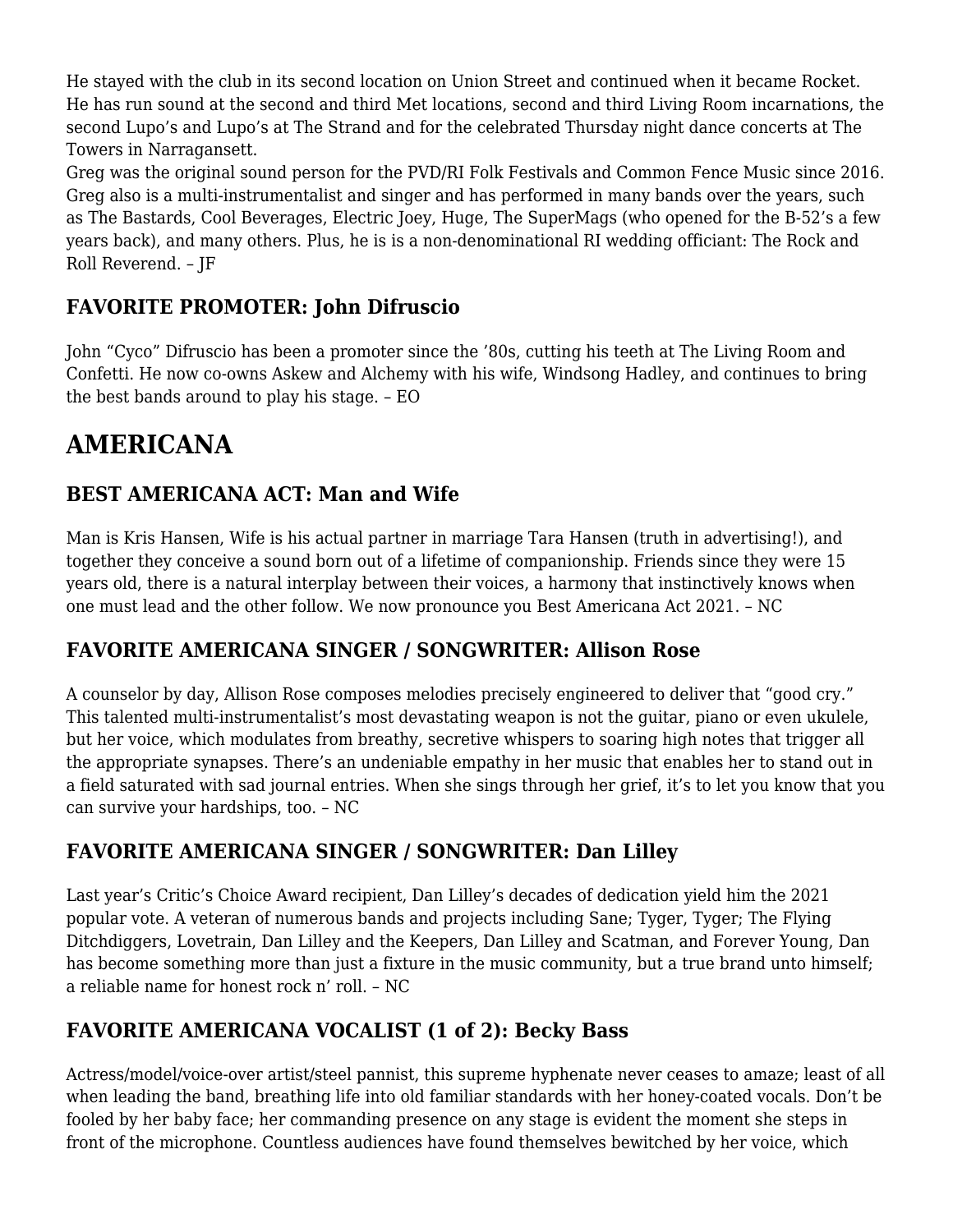He stayed with the club in its second location on Union Street and continued when it became Rocket. He has run sound at the second and third Met locations, second and third Living Room incarnations, the second Lupo's and Lupo's at The Strand and for the celebrated Thursday night dance concerts at The Towers in Narragansett.

Greg was the original sound person for the PVD/RI Folk Festivals and Common Fence Music since 2016. Greg also is a multi-instrumentalist and singer and has performed in many bands over the years, such as The Bastards, Cool Beverages, Electric Joey, Huge, The SuperMags (who opened for the B-52's a few years back), and many others. Plus, he is is a non-denominational RI wedding officiant: The Rock and Roll Reverend. – JF

# **FAVORITE PROMOTER: John Difruscio**

John "Cyco" Difruscio has been a promoter since the '80s, cutting his teeth at The Living Room and Confetti. He now co-owns Askew and Alchemy with his wife, Windsong Hadley, and continues to bring the best bands around to play his stage. – EO

# **AMERICANA**

# **BEST AMERICANA ACT: Man and Wife**

Man is Kris Hansen, Wife is his actual partner in marriage Tara Hansen (truth in advertising!), and together they conceive a sound born out of a lifetime of companionship. Friends since they were 15 years old, there is a natural interplay between their voices, a harmony that instinctively knows when one must lead and the other follow. We now pronounce you Best Americana Act 2021. – NC

#### **FAVORITE AMERICANA SINGER / SONGWRITER: Allison Rose**

A counselor by day, Allison Rose composes melodies precisely engineered to deliver that "good cry." This talented multi-instrumentalist's most devastating weapon is not the guitar, piano or even ukulele, but her voice, which modulates from breathy, secretive whispers to soaring high notes that trigger all the appropriate synapses. There's an undeniable empathy in her music that enables her to stand out in a field saturated with sad journal entries. When she sings through her grief, it's to let you know that you can survive your hardships, too. – NC

#### **FAVORITE AMERICANA SINGER / SONGWRITER: Dan Lilley**

Last year's Critic's Choice Award recipient, Dan Lilley's decades of dedication yield him the 2021 popular vote. A veteran of numerous bands and projects including Sane; Tyger, Tyger; The Flying Ditchdiggers, Lovetrain, Dan Lilley and the Keepers, Dan Lilley and Scatman, and Forever Young, Dan has become something more than just a fixture in the music community, but a true brand unto himself; a reliable name for honest rock n' roll. – NC

# **FAVORITE AMERICANA VOCALIST (1 of 2): Becky Bass**

Actress/model/voice-over artist/steel pannist, this supreme hyphenate never ceases to amaze; least of all when leading the band, breathing life into old familiar standards with her honey-coated vocals. Don't be fooled by her baby face; her commanding presence on any stage is evident the moment she steps in front of the microphone. Countless audiences have found themselves bewitched by her voice, which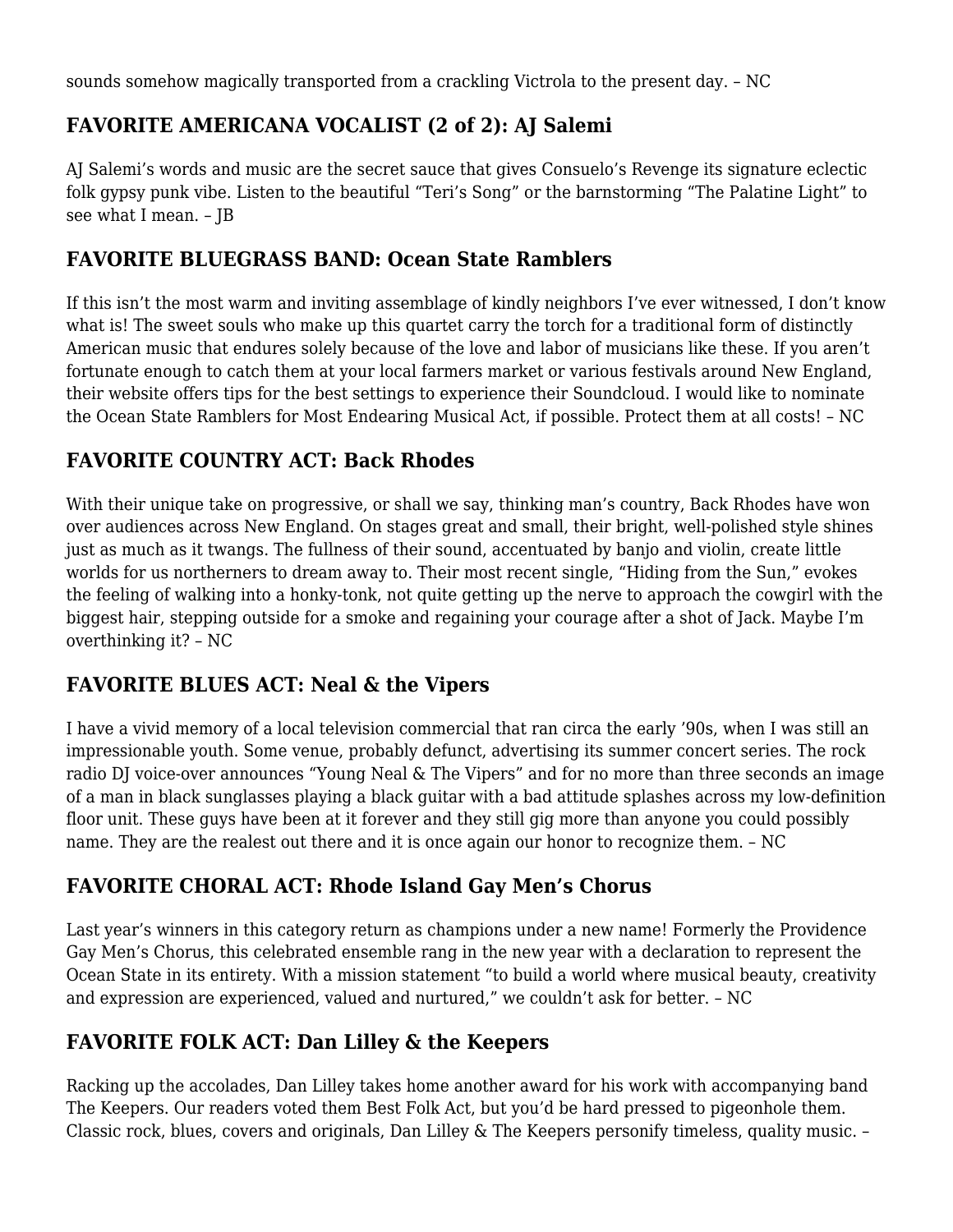sounds somehow magically transported from a crackling Victrola to the present day. – NC

# **FAVORITE AMERICANA VOCALIST (2 of 2): AJ Salemi**

AJ Salemi's words and music are the secret sauce that gives Consuelo's Revenge its signature eclectic folk gypsy punk vibe. Listen to the beautiful "Teri's Song" or the barnstorming "The Palatine Light" to see what I mean. – JB

#### **FAVORITE BLUEGRASS BAND: Ocean State Ramblers**

If this isn't the most warm and inviting assemblage of kindly neighbors I've ever witnessed, I don't know what is! The sweet souls who make up this quartet carry the torch for a traditional form of distinctly American music that endures solely because of the love and labor of musicians like these. If you aren't fortunate enough to catch them at your local farmers market or various festivals around New England, their website offers tips for the best settings to experience their Soundcloud. I would like to nominate the Ocean State Ramblers for Most Endearing Musical Act, if possible. Protect them at all costs! – NC

#### **FAVORITE COUNTRY ACT: Back Rhodes**

With their unique take on progressive, or shall we say, thinking man's country, Back Rhodes have won over audiences across New England. On stages great and small, their bright, well-polished style shines just as much as it twangs. The fullness of their sound, accentuated by banjo and violin, create little worlds for us northerners to dream away to. Their most recent single, "Hiding from the Sun," evokes the feeling of walking into a honky-tonk, not quite getting up the nerve to approach the cowgirl with the biggest hair, stepping outside for a smoke and regaining your courage after a shot of Jack. Maybe I'm overthinking it? – NC

#### **FAVORITE BLUES ACT: Neal & the Vipers**

I have a vivid memory of a local television commercial that ran circa the early '90s, when I was still an impressionable youth. Some venue, probably defunct, advertising its summer concert series. The rock radio DJ voice-over announces "Young Neal & The Vipers" and for no more than three seconds an image of a man in black sunglasses playing a black guitar with a bad attitude splashes across my low-definition floor unit. These guys have been at it forever and they still gig more than anyone you could possibly name. They are the realest out there and it is once again our honor to recognize them. – NC

# **FAVORITE CHORAL ACT: Rhode Island Gay Men's Chorus**

Last year's winners in this category return as champions under a new name! Formerly the Providence Gay Men's Chorus, this celebrated ensemble rang in the new year with a declaration to represent the Ocean State in its entirety. With a mission statement "to build a world where musical beauty, creativity and expression are experienced, valued and nurtured," we couldn't ask for better. – NC

# **FAVORITE FOLK ACT: Dan Lilley & the Keepers**

Racking up the accolades, Dan Lilley takes home another award for his work with accompanying band The Keepers. Our readers voted them Best Folk Act, but you'd be hard pressed to pigeonhole them. Classic rock, blues, covers and originals, Dan Lilley & The Keepers personify timeless, quality music. –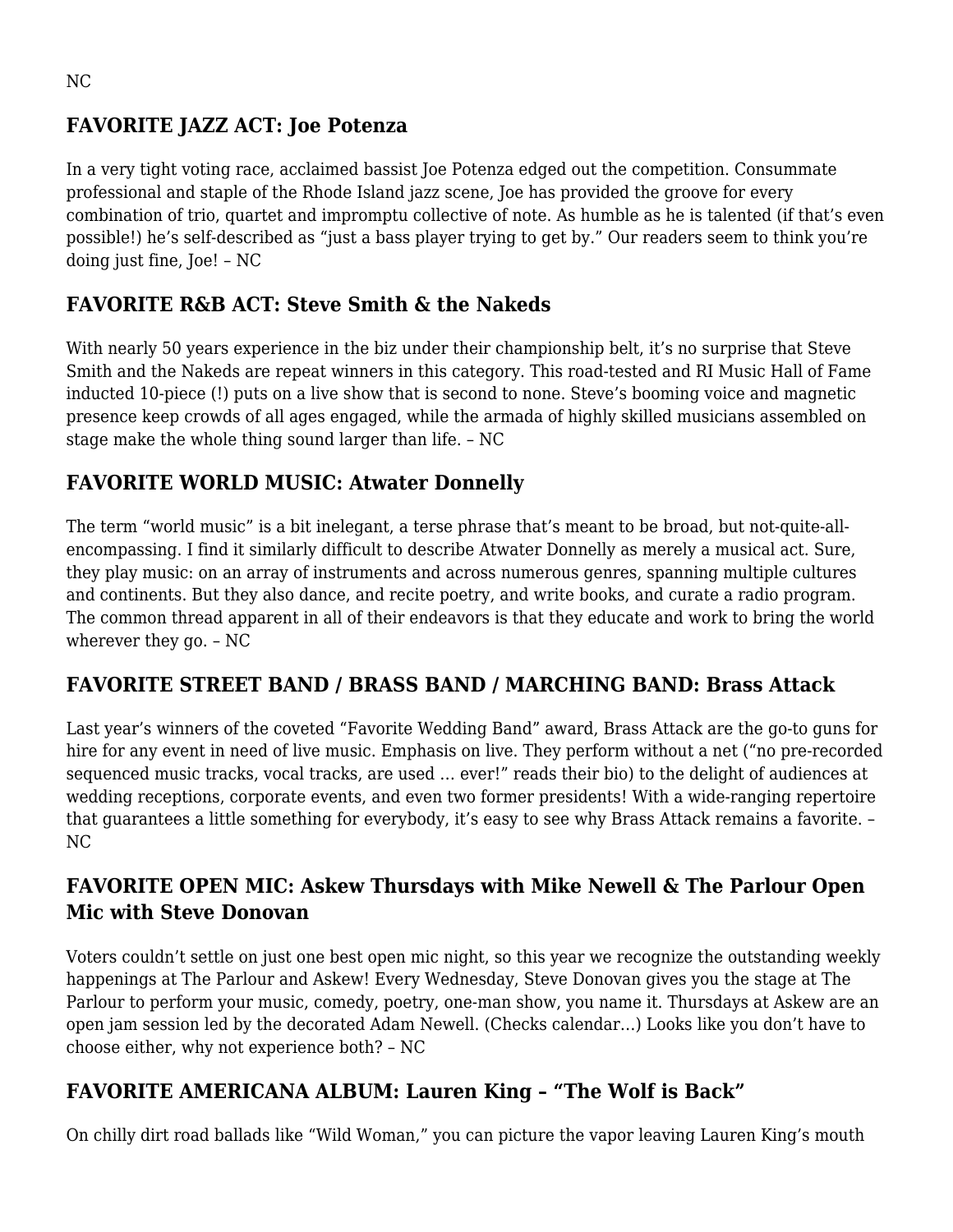#### **FAVORITE JAZZ ACT: Joe Potenza**

In a very tight voting race, acclaimed bassist Joe Potenza edged out the competition. Consummate professional and staple of the Rhode Island jazz scene, Joe has provided the groove for every combination of trio, quartet and impromptu collective of note. As humble as he is talented (if that's even possible!) he's self-described as "just a bass player trying to get by." Our readers seem to think you're doing just fine, Joe! – NC

#### **FAVORITE R&B ACT: Steve Smith & the Nakeds**

With nearly 50 years experience in the biz under their championship belt, it's no surprise that Steve Smith and the Nakeds are repeat winners in this category. This road-tested and RI Music Hall of Fame inducted 10-piece (!) puts on a live show that is second to none. Steve's booming voice and magnetic presence keep crowds of all ages engaged, while the armada of highly skilled musicians assembled on stage make the whole thing sound larger than life. – NC

#### **FAVORITE WORLD MUSIC: Atwater Donnelly**

The term "world music" is a bit inelegant, a terse phrase that's meant to be broad, but not-quite-allencompassing. I find it similarly difficult to describe Atwater Donnelly as merely a musical act. Sure, they play music: on an array of instruments and across numerous genres, spanning multiple cultures and continents. But they also dance, and recite poetry, and write books, and curate a radio program. The common thread apparent in all of their endeavors is that they educate and work to bring the world wherever they go. – NC

#### **FAVORITE STREET BAND / BRASS BAND / MARCHING BAND: Brass Attack**

Last year's winners of the coveted "Favorite Wedding Band" award, Brass Attack are the go-to guns for hire for any event in need of live music. Emphasis on live. They perform without a net ("no pre-recorded sequenced music tracks, vocal tracks, are used … ever!" reads their bio) to the delight of audiences at wedding receptions, corporate events, and even two former presidents! With a wide-ranging repertoire that guarantees a little something for everybody, it's easy to see why Brass Attack remains a favorite. – NC

# **FAVORITE OPEN MIC: Askew Thursdays with Mike Newell & The Parlour Open Mic with Steve Donovan**

Voters couldn't settle on just one best open mic night, so this year we recognize the outstanding weekly happenings at The Parlour and Askew! Every Wednesday, Steve Donovan gives you the stage at The Parlour to perform your music, comedy, poetry, one-man show, you name it. Thursdays at Askew are an open jam session led by the decorated Adam Newell. (Checks calendar…) Looks like you don't have to choose either, why not experience both? – NC

#### **FAVORITE AMERICANA ALBUM: Lauren King – "The Wolf is Back"**

On chilly dirt road ballads like "Wild Woman," you can picture the vapor leaving Lauren King's mouth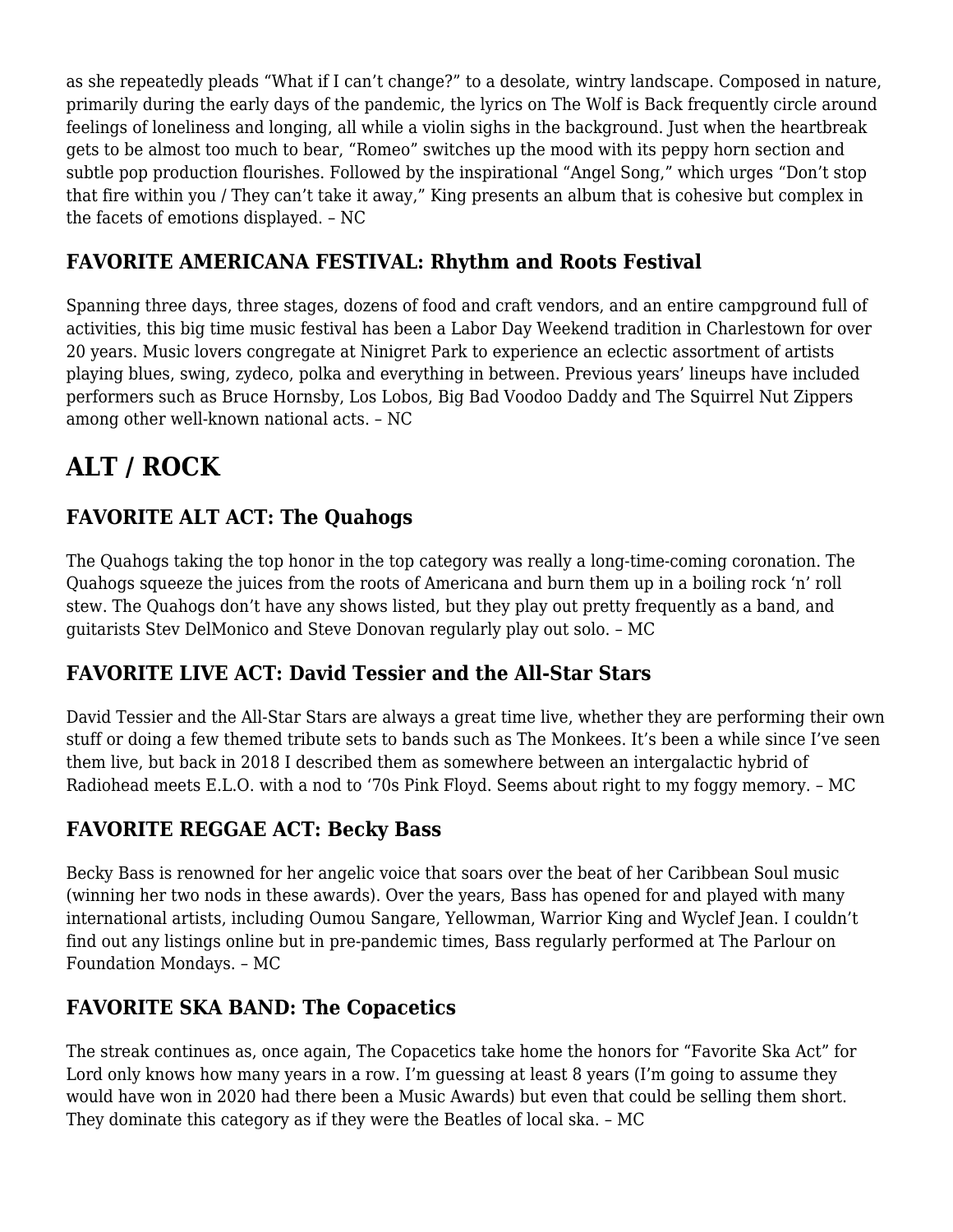as she repeatedly pleads "What if I can't change?" to a desolate, wintry landscape. Composed in nature, primarily during the early days of the pandemic, the lyrics on The Wolf is Back frequently circle around feelings of loneliness and longing, all while a violin sighs in the background. Just when the heartbreak gets to be almost too much to bear, "Romeo" switches up the mood with its peppy horn section and subtle pop production flourishes. Followed by the inspirational "Angel Song," which urges "Don't stop that fire within you / They can't take it away," King presents an album that is cohesive but complex in the facets of emotions displayed. – NC

#### **FAVORITE AMERICANA FESTIVAL: Rhythm and Roots Festival**

Spanning three days, three stages, dozens of food and craft vendors, and an entire campground full of activities, this big time music festival has been a Labor Day Weekend tradition in Charlestown for over 20 years. Music lovers congregate at Ninigret Park to experience an eclectic assortment of artists playing blues, swing, zydeco, polka and everything in between. Previous years' lineups have included performers such as Bruce Hornsby, Los Lobos, Big Bad Voodoo Daddy and The Squirrel Nut Zippers among other well-known national acts. – NC

# **ALT / ROCK**

# **FAVORITE ALT ACT: The Quahogs**

The Quahogs taking the top honor in the top category was really a long-time-coming coronation. The Quahogs squeeze the juices from the roots of Americana and burn them up in a boiling rock 'n' roll stew. The Quahogs don't have any shows listed, but they play out pretty frequently as a band, and guitarists Stev DelMonico and Steve Donovan regularly play out solo. – MC

#### **FAVORITE LIVE ACT: David Tessier and the All-Star Stars**

David Tessier and the All-Star Stars are always a great time live, whether they are performing their own stuff or doing a few themed tribute sets to bands such as The Monkees. It's been a while since I've seen them live, but back in 2018 I described them as somewhere between an intergalactic hybrid of Radiohead meets E.L.O. with a nod to '70s Pink Floyd. Seems about right to my foggy memory. – MC

#### **FAVORITE REGGAE ACT: Becky Bass**

Becky Bass is renowned for her angelic voice that soars over the beat of her Caribbean Soul music (winning her two nods in these awards). Over the years, Bass has opened for and played with many international artists, including Oumou Sangare, Yellowman, Warrior King and Wyclef Jean. I couldn't find out any listings online but in pre-pandemic times, Bass regularly performed at The Parlour on Foundation Mondays. – MC

# **FAVORITE SKA BAND: The Copacetics**

The streak continues as, once again, The Copacetics take home the honors for "Favorite Ska Act" for Lord only knows how many years in a row. I'm guessing at least 8 years (I'm going to assume they would have won in 2020 had there been a Music Awards) but even that could be selling them short. They dominate this category as if they were the Beatles of local ska. – MC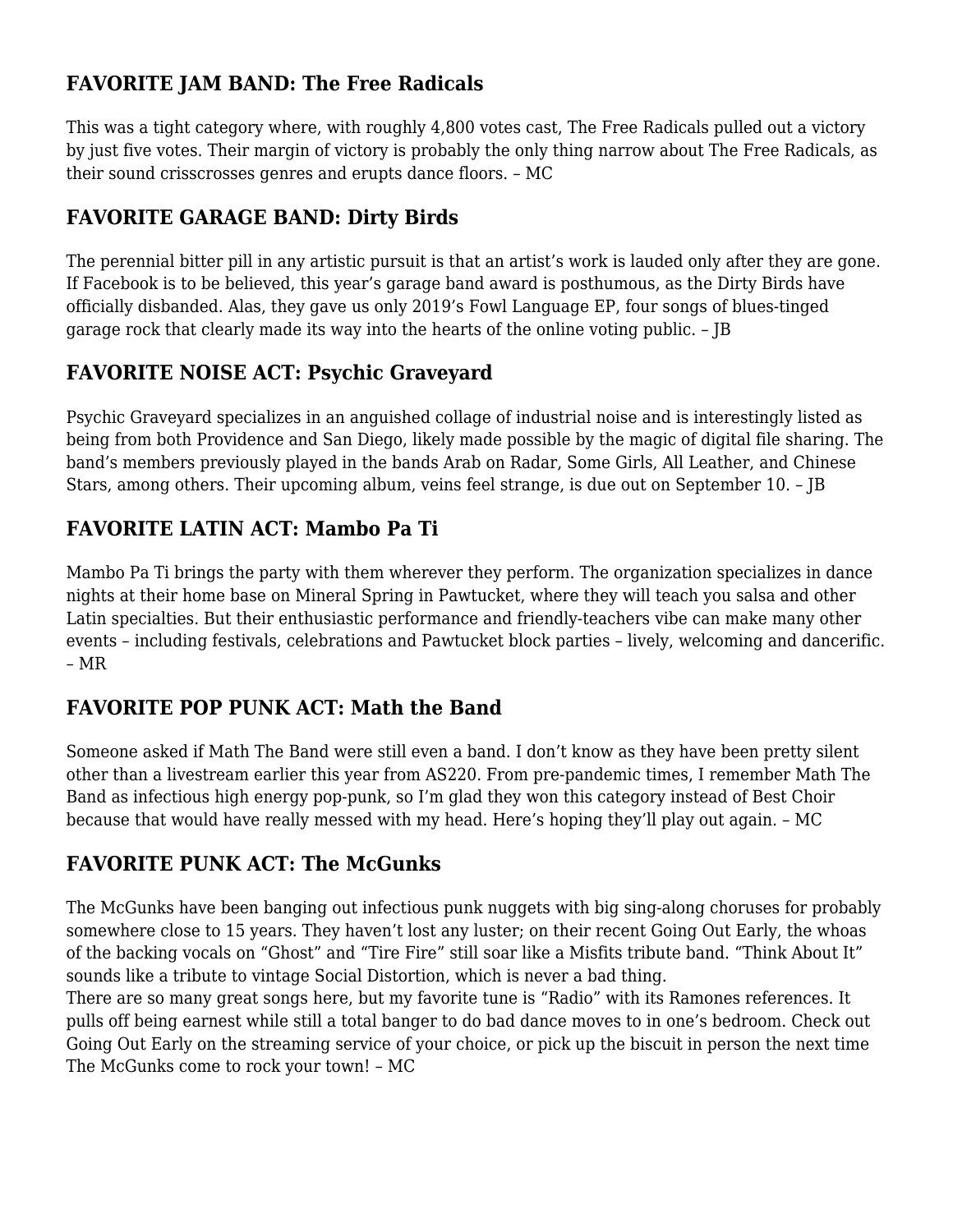# **FAVORITE JAM BAND: The Free Radicals**

This was a tight category where, with roughly 4,800 votes cast, The Free Radicals pulled out a victory by just five votes. Their margin of victory is probably the only thing narrow about The Free Radicals, as their sound crisscrosses genres and erupts dance floors. – MC

# **FAVORITE GARAGE BAND: Dirty Birds**

The perennial bitter pill in any artistic pursuit is that an artist's work is lauded only after they are gone. If Facebook is to be believed, this year's garage band award is posthumous, as the Dirty Birds have officially disbanded. Alas, they gave us only 2019's Fowl Language EP, four songs of blues-tinged garage rock that clearly made its way into the hearts of the online voting public. – JB

# **FAVORITE NOISE ACT: Psychic Graveyard**

Psychic Graveyard specializes in an anguished collage of industrial noise and is interestingly listed as being from both Providence and San Diego, likely made possible by the magic of digital file sharing. The band's members previously played in the bands Arab on Radar, Some Girls, All Leather, and Chinese Stars, among others. Their upcoming album, veins feel strange, is due out on September 10. – JB

# **FAVORITE LATIN ACT: Mambo Pa Ti**

Mambo Pa Ti brings the party with them wherever they perform. The organization specializes in dance nights at their home base on Mineral Spring in Pawtucket, where they will teach you salsa and other Latin specialties. But their enthusiastic performance and friendly-teachers vibe can make many other events – including festivals, celebrations and Pawtucket block parties – lively, welcoming and dancerific. – MR

# **FAVORITE POP PUNK ACT: Math the Band**

Someone asked if Math The Band were still even a band. I don't know as they have been pretty silent other than a livestream earlier this year from AS220. From pre-pandemic times, I remember Math The Band as infectious high energy pop-punk, so I'm glad they won this category instead of Best Choir because that would have really messed with my head. Here's hoping they'll play out again. – MC

# **FAVORITE PUNK ACT: The McGunks**

The McGunks have been banging out infectious punk nuggets with big sing-along choruses for probably somewhere close to 15 years. They haven't lost any luster; on their recent Going Out Early, the whoas of the backing vocals on "Ghost" and "Tire Fire" still soar like a Misfits tribute band. "Think About It" sounds like a tribute to vintage Social Distortion, which is never a bad thing.

There are so many great songs here, but my favorite tune is "Radio" with its Ramones references. It pulls off being earnest while still a total banger to do bad dance moves to in one's bedroom. Check out Going Out Early on the streaming service of your choice, or pick up the biscuit in person the next time The McGunks come to rock your town! – MC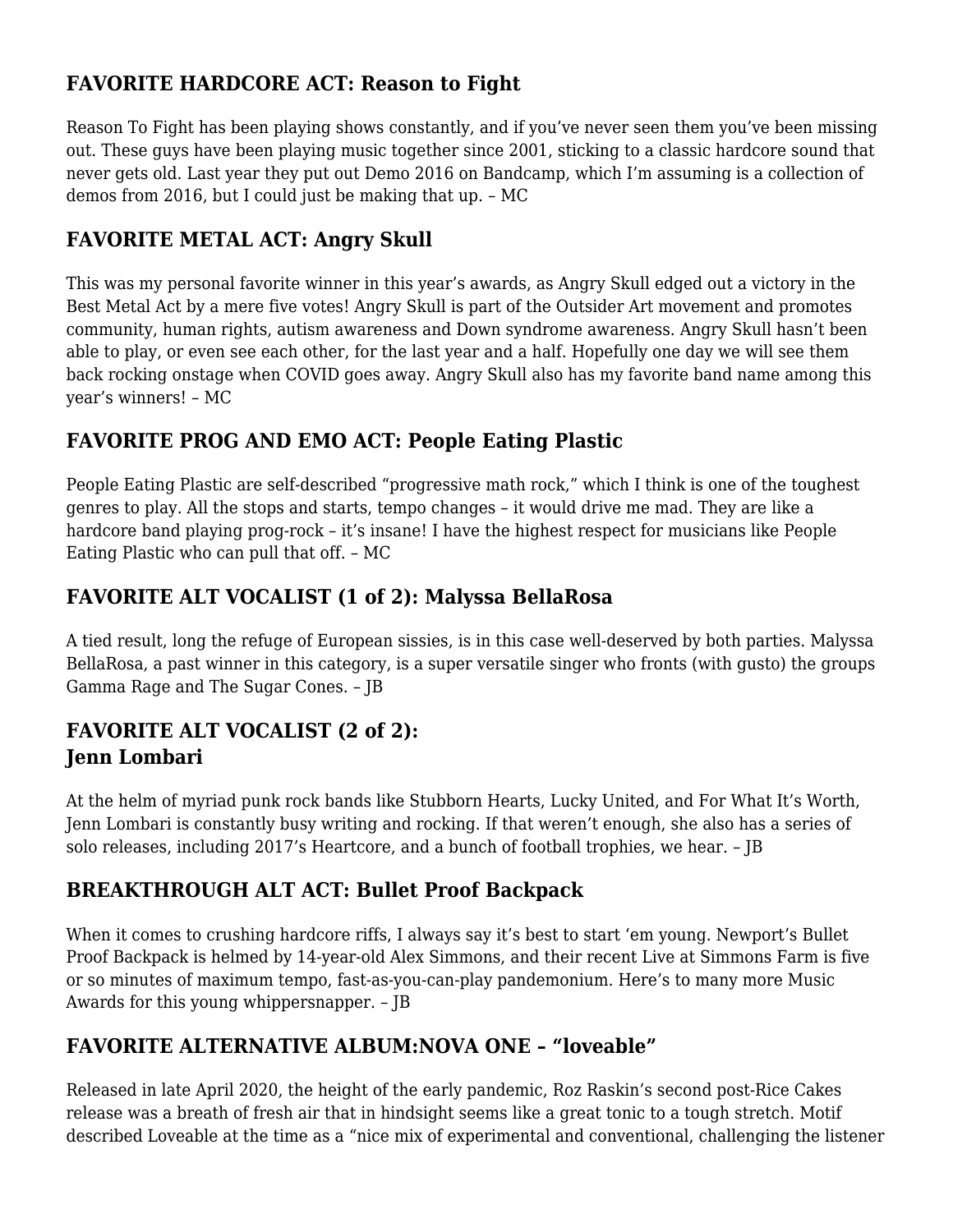# **FAVORITE HARDCORE ACT: Reason to Fight**

Reason To Fight has been playing shows constantly, and if you've never seen them you've been missing out. These guys have been playing music together since 2001, sticking to a classic hardcore sound that never gets old. Last year they put out Demo 2016 on Bandcamp, which I'm assuming is a collection of demos from 2016, but I could just be making that up. – MC

#### **FAVORITE METAL ACT: Angry Skull**

This was my personal favorite winner in this year's awards, as Angry Skull edged out a victory in the Best Metal Act by a mere five votes! Angry Skull is part of the Outsider Art movement and promotes community, human rights, autism awareness and Down syndrome awareness. Angry Skull hasn't been able to play, or even see each other, for the last year and a half. Hopefully one day we will see them back rocking onstage when COVID goes away. Angry Skull also has my favorite band name among this year's winners! – MC

#### **FAVORITE PROG AND EMO ACT: People Eating Plastic**

People Eating Plastic are self-described "progressive math rock," which I think is one of the toughest genres to play. All the stops and starts, tempo changes – it would drive me mad. They are like a hardcore band playing prog-rock – it's insane! I have the highest respect for musicians like People Eating Plastic who can pull that off. – MC

# **FAVORITE ALT VOCALIST (1 of 2): Malyssa BellaRosa**

A tied result, long the refuge of European sissies, is in this case well-deserved by both parties. Malyssa BellaRosa, a past winner in this category, is a super versatile singer who fronts (with gusto) the groups Gamma Rage and The Sugar Cones. – JB

#### **FAVORITE ALT VOCALIST (2 of 2): Jenn Lombari**

At the helm of myriad punk rock bands like Stubborn Hearts, Lucky United, and For What It's Worth, Jenn Lombari is constantly busy writing and rocking. If that weren't enough, she also has a series of solo releases, including 2017's Heartcore, and a bunch of football trophies, we hear. – JB

#### **BREAKTHROUGH ALT ACT: Bullet Proof Backpack**

When it comes to crushing hardcore riffs, I always say it's best to start 'em young. Newport's Bullet Proof Backpack is helmed by 14-year-old Alex Simmons, and their recent Live at Simmons Farm is five or so minutes of maximum tempo, fast-as-you-can-play pandemonium. Here's to many more Music Awards for this young whippersnapper. – JB

# **FAVORITE ALTERNATIVE ALBUM:NOVA ONE – "loveable"**

Released in late April 2020, the height of the early pandemic, Roz Raskin's second post-Rice Cakes release was a breath of fresh air that in hindsight seems like a great tonic to a tough stretch. Motif described Loveable at the time as a "nice mix of experimental and conventional, challenging the listener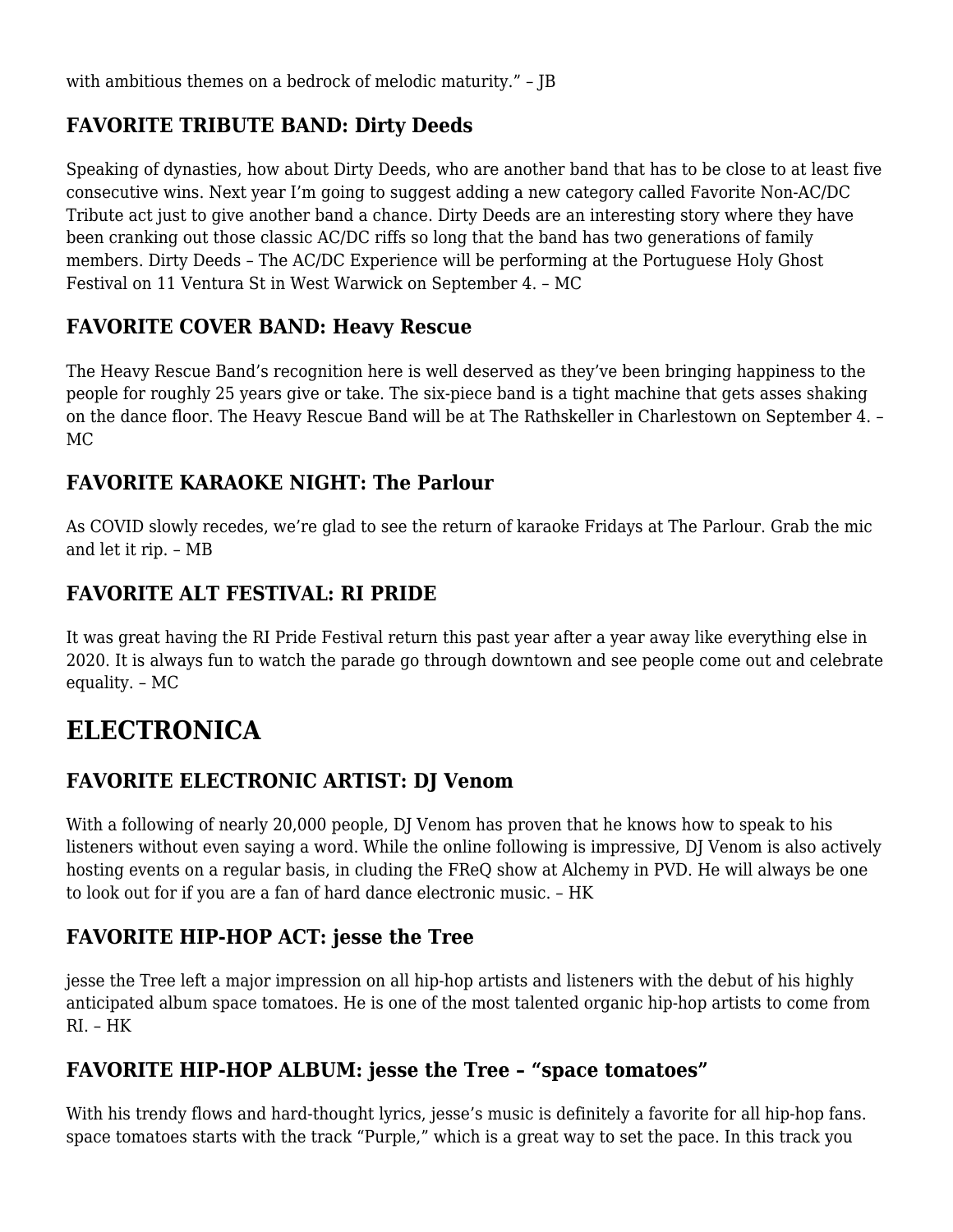with ambitious themes on a bedrock of melodic maturity." - IB

#### **FAVORITE TRIBUTE BAND: Dirty Deeds**

Speaking of dynasties, how about Dirty Deeds, who are another band that has to be close to at least five consecutive wins. Next year I'm going to suggest adding a new category called Favorite Non-AC/DC Tribute act just to give another band a chance. Dirty Deeds are an interesting story where they have been cranking out those classic AC/DC riffs so long that the band has two generations of family members. Dirty Deeds – The AC/DC Experience will be performing at the Portuguese Holy Ghost Festival on 11 Ventura St in West Warwick on September 4. – MC

#### **FAVORITE COVER BAND: Heavy Rescue**

The Heavy Rescue Band's recognition here is well deserved as they've been bringing happiness to the people for roughly 25 years give or take. The six-piece band is a tight machine that gets asses shaking on the dance floor. The Heavy Rescue Band will be at The Rathskeller in Charlestown on September 4. – MC

#### **FAVORITE KARAOKE NIGHT: The Parlour**

As COVID slowly recedes, we're glad to see the return of karaoke Fridays at The Parlour. Grab the mic and let it rip. – MB

# **FAVORITE ALT FESTIVAL: RI PRIDE**

It was great having the RI Pride Festival return this past year after a year away like everything else in 2020. It is always fun to watch the parade go through downtown and see people come out and celebrate equality. – MC

# **ELECTRONICA**

# **FAVORITE ELECTRONIC ARTIST: DJ Venom**

With a following of nearly 20,000 people, DJ Venom has proven that he knows how to speak to his listeners without even saying a word. While the online following is impressive, DJ Venom is also actively hosting events on a regular basis, in cluding the FReQ show at Alchemy in PVD. He will always be one to look out for if you are a fan of hard dance electronic music. – HK

#### **FAVORITE HIP-HOP ACT: jesse the Tree**

jesse the Tree left a major impression on all hip-hop artists and listeners with the debut of his highly anticipated album space tomatoes. He is one of the most talented organic hip-hop artists to come from RI. – HK

# **FAVORITE HIP-HOP ALBUM: jesse the Tree – "space tomatoes"**

With his trendy flows and hard-thought lyrics, jesse's music is definitely a favorite for all hip-hop fans. space tomatoes starts with the track "Purple," which is a great way to set the pace. In this track you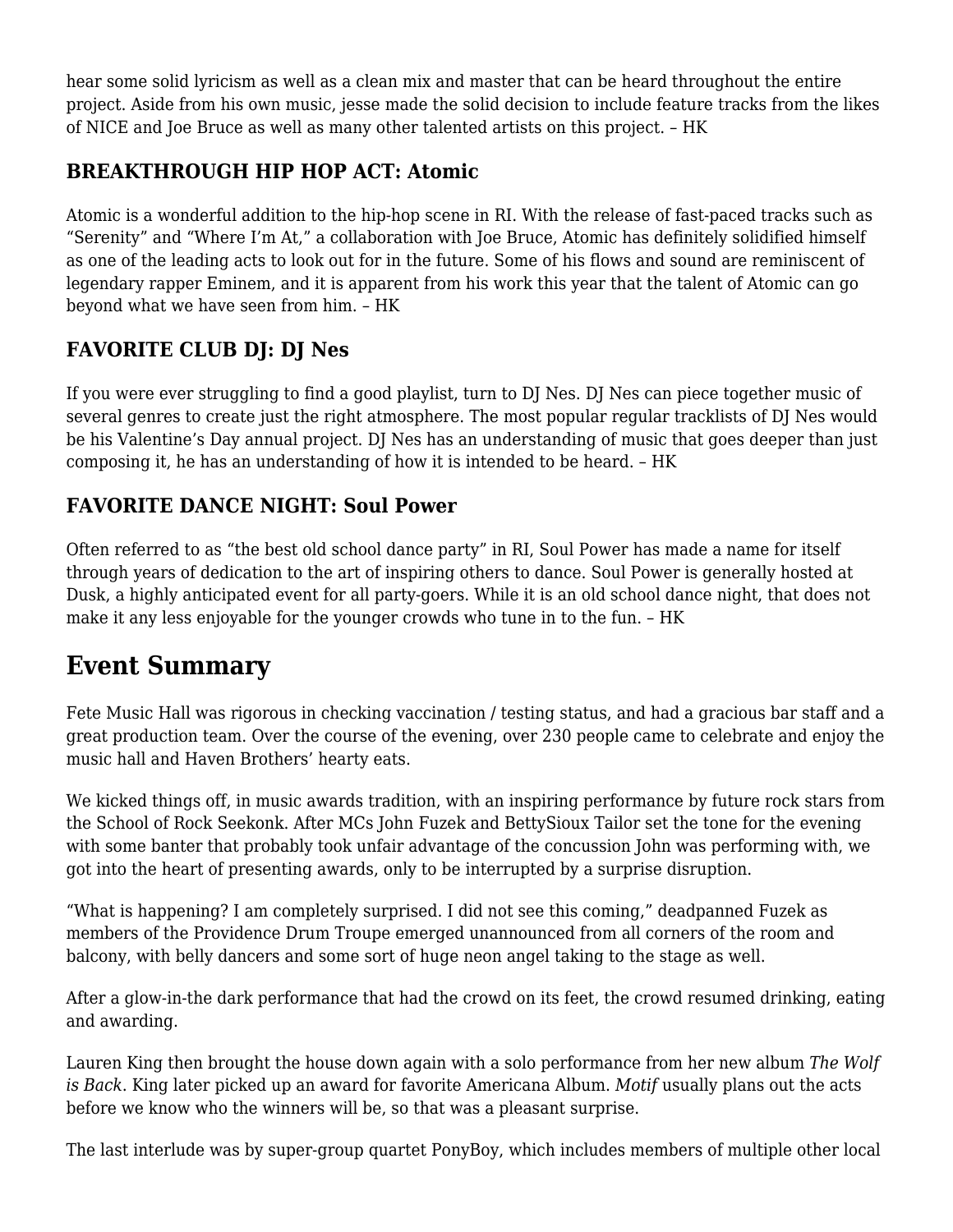hear some solid lyricism as well as a clean mix and master that can be heard throughout the entire project. Aside from his own music, jesse made the solid decision to include feature tracks from the likes of NICE and Joe Bruce as well as many other talented artists on this project. – HK

# **BREAKTHROUGH HIP HOP ACT: Atomic**

Atomic is a wonderful addition to the hip-hop scene in RI. With the release of fast-paced tracks such as "Serenity" and "Where I'm At," a collaboration with Joe Bruce, Atomic has definitely solidified himself as one of the leading acts to look out for in the future. Some of his flows and sound are reminiscent of legendary rapper Eminem, and it is apparent from his work this year that the talent of Atomic can go beyond what we have seen from him. – HK

# **FAVORITE CLUB DJ: DJ Nes**

If you were ever struggling to find a good playlist, turn to DJ Nes. DJ Nes can piece together music of several genres to create just the right atmosphere. The most popular regular tracklists of DJ Nes would be his Valentine's Day annual project. DJ Nes has an understanding of music that goes deeper than just composing it, he has an understanding of how it is intended to be heard. – HK

#### **FAVORITE DANCE NIGHT: Soul Power**

Often referred to as "the best old school dance party" in RI, Soul Power has made a name for itself through years of dedication to the art of inspiring others to dance. Soul Power is generally hosted at Dusk, a highly anticipated event for all party-goers. While it is an old school dance night, that does not make it any less enjoyable for the younger crowds who tune in to the fun. – HK

# **Event Summary**

Fete Music Hall was rigorous in checking vaccination / testing status, and had a gracious bar staff and a great production team. Over the course of the evening, over 230 people came to celebrate and enjoy the music hall and Haven Brothers' hearty eats.

We kicked things off, in music awards tradition, with an inspiring performance by future rock stars from the School of Rock Seekonk. After MCs John Fuzek and BettySioux Tailor set the tone for the evening with some banter that probably took unfair advantage of the concussion John was performing with, we got into the heart of presenting awards, only to be interrupted by a surprise disruption.

"What is happening? I am completely surprised. I did not see this coming," deadpanned Fuzek as members of the Providence Drum Troupe emerged unannounced from all corners of the room and balcony, with belly dancers and some sort of huge neon angel taking to the stage as well.

After a glow-in-the dark performance that had the crowd on its feet, the crowd resumed drinking, eating and awarding.

Lauren King then brought the house down again with a solo performance from her new album *The Wolf is Back*. King later picked up an award for favorite Americana Album. *Motif* usually plans out the acts before we know who the winners will be, so that was a pleasant surprise.

The last interlude was by super-group quartet PonyBoy, which includes members of multiple other local